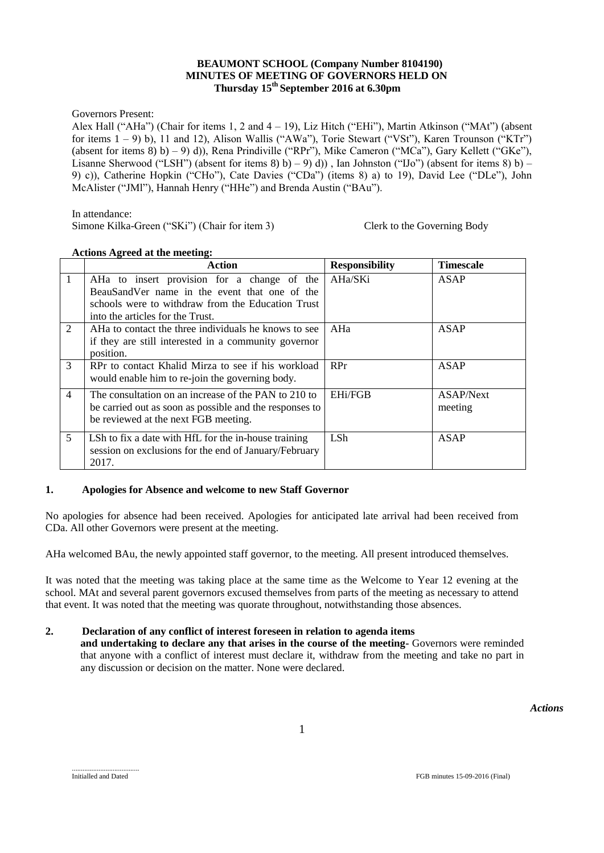### **BEAUMONT SCHOOL (Company Number 8104190) MINUTES OF MEETING OF GOVERNORS HELD ON Thursday 15th September 2016 at 6.30pm**

Governors Present:

Alex Hall ("AHa") (Chair for items 1, 2 and  $4 - 19$ ), Liz Hitch ("EHi"), Martin Atkinson ("MAt") (absent for items 1 – 9) b), 11 and 12), Alison Wallis ("AWa"), Torie Stewart ("VSt"), Karen Trounson ("KTr") (absent for items 8) b) – 9) d)), Rena Prindiville ("RPr"), Mike Cameron ("MCa"), Gary Kellett ("GKe"), Lisanne Sherwood ("LSH") (absent for items 8) b) – 9) d)), Ian Johnston ("IJo") (absent for items 8) b) – 9) c)), Catherine Hopkin ("CHo"), Cate Davies ("CDa") (items 8) a) to 19), David Lee ("DLe"), John McAlister ("JMl"), Hannah Henry ("HHe") and Brenda Austin ("BAu").

#### In attendance:

Simone Kilka-Green ("SKi") (Chair for item 3) Clerk to the Governing Body

|                | Action                                                                                                                                                                                | <b>Responsibility</b> | <b>Timescale</b>     |
|----------------|---------------------------------------------------------------------------------------------------------------------------------------------------------------------------------------|-----------------------|----------------------|
| $\overline{1}$ | AHa to insert provision for a change of the<br>BeauSandVer name in the event that one of the<br>schools were to withdraw from the Education Trust<br>into the articles for the Trust. | AHa/SKi               | ASAP                 |
| 2              | AHa to contact the three individuals he knows to see<br>if they are still interested in a community governor<br>position.                                                             | AHa                   | ASAP                 |
| 3              | RPr to contact Khalid Mirza to see if his workload<br>would enable him to re-join the governing body.                                                                                 | RPr                   | <b>ASAP</b>          |
| $\overline{4}$ | The consultation on an increase of the PAN to 210 to<br>be carried out as soon as possible and the responses to<br>be reviewed at the next FGB meeting.                               | <b>EHi/FGB</b>        | ASAP/Next<br>meeting |
| 5              | LSh to fix a date with HfL for the in-house training<br>session on exclusions for the end of January/February<br>2017.                                                                | LSh                   | ASAP                 |

#### **Actions Agreed at the meeting:**

## **1. Apologies for Absence and welcome to new Staff Governor**

No apologies for absence had been received. Apologies for anticipated late arrival had been received from CDa. All other Governors were present at the meeting.

AHa welcomed BAu, the newly appointed staff governor, to the meeting. All present introduced themselves.

It was noted that the meeting was taking place at the same time as the Welcome to Year 12 evening at the school. MAt and several parent governors excused themselves from parts of the meeting as necessary to attend that event. It was noted that the meeting was quorate throughout, notwithstanding those absences.

## **2. Declaration of any conflict of interest foreseen in relation to agenda items**

**and undertaking to declare any that arises in the course of the meeting-** Governors were reminded that anyone with a conflict of interest must declare it, withdraw from the meeting and take no part in any discussion or decision on the matter. None were declared.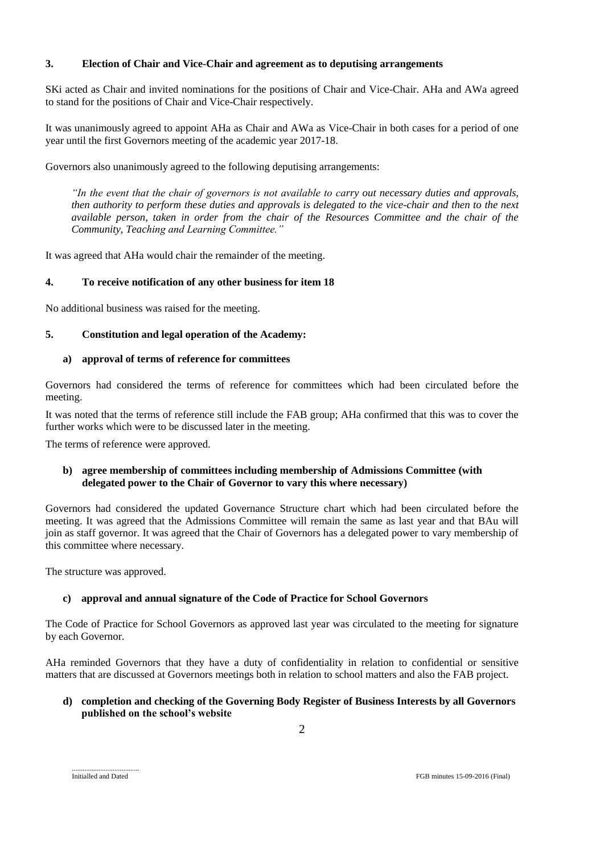## **3. Election of Chair and Vice-Chair and agreement as to deputising arrangements**

SKi acted as Chair and invited nominations for the positions of Chair and Vice-Chair. AHa and AWa agreed to stand for the positions of Chair and Vice-Chair respectively.

It was unanimously agreed to appoint AHa as Chair and AWa as Vice-Chair in both cases for a period of one year until the first Governors meeting of the academic year 2017-18.

Governors also unanimously agreed to the following deputising arrangements:

*"In the event that the chair of governors is not available to carry out necessary duties and approvals, then authority to perform these duties and approvals is delegated to the vice-chair and then to the next available person, taken in order from the chair of the Resources Committee and the chair of the Community, Teaching and Learning Committee."*

It was agreed that AHa would chair the remainder of the meeting.

## **4. To receive notification of any other business for item 18**

No additional business was raised for the meeting.

## **5. Constitution and legal operation of the Academy:**

## **a) approval of terms of reference for committees**

Governors had considered the terms of reference for committees which had been circulated before the meeting.

It was noted that the terms of reference still include the FAB group; AHa confirmed that this was to cover the further works which were to be discussed later in the meeting.

The terms of reference were approved.

## **b) agree membership of committees including membership of Admissions Committee (with delegated power to the Chair of Governor to vary this where necessary)**

Governors had considered the updated Governance Structure chart which had been circulated before the meeting. It was agreed that the Admissions Committee will remain the same as last year and that BAu will join as staff governor. It was agreed that the Chair of Governors has a delegated power to vary membership of this committee where necessary.

The structure was approved.

## **c) approval and annual signature of the Code of Practice for School Governors**

The Code of Practice for School Governors as approved last year was circulated to the meeting for signature by each Governor.

AHa reminded Governors that they have a duty of confidentiality in relation to confidential or sensitive matters that are discussed at Governors meetings both in relation to school matters and also the FAB project.

### **d) completion and checking of the Governing Body Register of Business Interests by all Governors published on the school's website**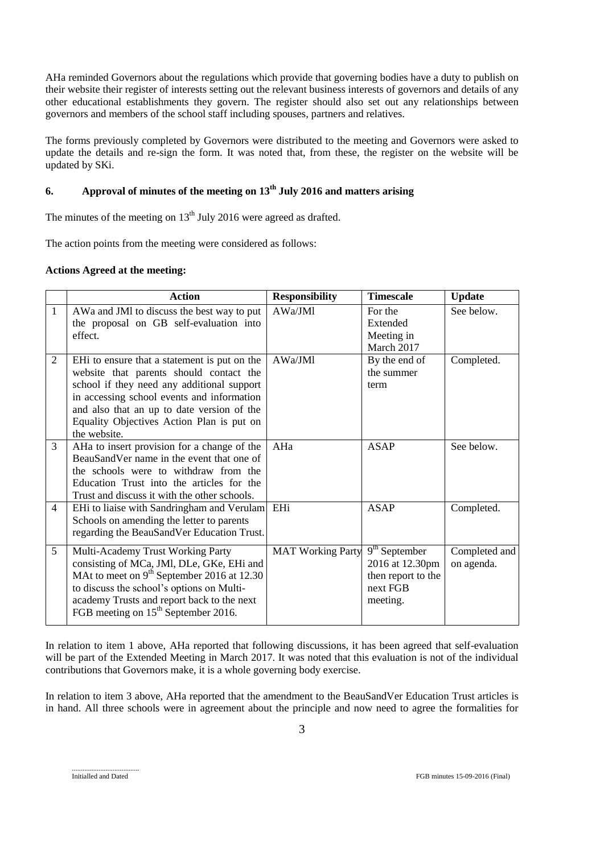AHa reminded Governors about the regulations which provide that governing bodies have a duty to publish on their website their register of interests setting out the relevant business interests of governors and details of any other educational establishments they govern. The register should also set out any relationships between governors and members of the school staff including spouses, partners and relatives.

The forms previously completed by Governors were distributed to the meeting and Governors were asked to update the details and re-sign the form. It was noted that, from these, the register on the website will be updated by SKi.

# **6. Approval of minutes of the meeting on 13th July 2016 and matters arising**

The minutes of the meeting on  $13<sup>th</sup>$  July 2016 were agreed as drafted.

The action points from the meeting were considered as follows:

## **Actions Agreed at the meeting:**

|                | <b>Action</b>                                                                                                                                                                                                                                                                                              | <b>Responsibility</b>    | <b>Timescale</b>                                                                 | <b>Update</b>               |
|----------------|------------------------------------------------------------------------------------------------------------------------------------------------------------------------------------------------------------------------------------------------------------------------------------------------------------|--------------------------|----------------------------------------------------------------------------------|-----------------------------|
| $\mathbf{1}$   | AWa and JMI to discuss the best way to put<br>the proposal on GB self-evaluation into<br>effect.                                                                                                                                                                                                           | AWa/JMl                  | For the<br>Extended<br>Meeting in<br>March 2017                                  | See below.                  |
| $\mathfrak{2}$ | EH <sub>i</sub> to ensure that a statement is put on the<br>website that parents should contact the<br>school if they need any additional support<br>in accessing school events and information<br>and also that an up to date version of the<br>Equality Objectives Action Plan is put on<br>the website. | AWa/JMl                  | By the end of<br>the summer<br>term                                              | Completed.                  |
| 3              | AHa to insert provision for a change of the<br>BeauSandVer name in the event that one of<br>the schools were to withdraw from the<br>Education Trust into the articles for the<br>Trust and discuss it with the other schools.                                                                             | AHa                      | <b>ASAP</b>                                                                      | See below.                  |
| $\overline{4}$ | EHi to liaise with Sandringham and Verulam EHi<br>Schools on amending the letter to parents<br>regarding the BeauSandVer Education Trust.                                                                                                                                                                  |                          | <b>ASAP</b>                                                                      | Completed.                  |
| 5 <sup>5</sup> | Multi-Academy Trust Working Party<br>consisting of MCa, JMI, DLe, GKe, EHi and<br>MAt to meet on $9th$ September 2016 at 12.30<br>to discuss the school's options on Multi-<br>academy Trusts and report back to the next<br>FGB meeting on 15 <sup>th</sup> September 2016.                               | <b>MAT Working Party</b> | $9th$ September<br>2016 at 12.30pm<br>then report to the<br>next FGB<br>meeting. | Completed and<br>on agenda. |

In relation to item 1 above, AHa reported that following discussions, it has been agreed that self-evaluation will be part of the Extended Meeting in March 2017. It was noted that this evaluation is not of the individual contributions that Governors make, it is a whole governing body exercise.

In relation to item 3 above, AHa reported that the amendment to the BeauSandVer Education Trust articles is in hand. All three schools were in agreement about the principle and now need to agree the formalities for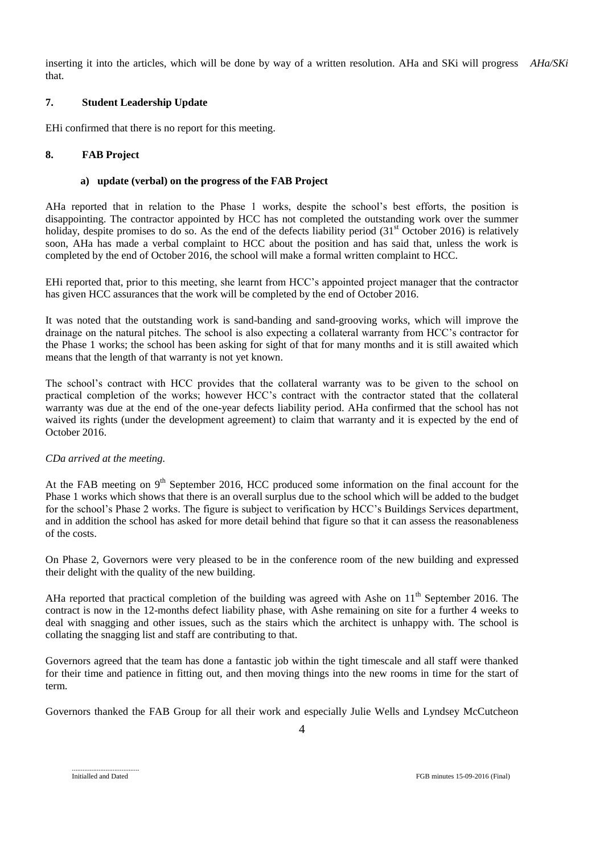inserting it into the articles, which will be done by way of a written resolution. AHa and SKi will progress *AHa/SKi*that.

### **7. Student Leadership Update**

EHi confirmed that there is no report for this meeting.

### **8. FAB Project**

#### **a) update (verbal) on the progress of the FAB Project**

AHa reported that in relation to the Phase 1 works, despite the school's best efforts, the position is disappointing. The contractor appointed by HCC has not completed the outstanding work over the summer holiday, despite promises to do so. As the end of the defects liability period  $(31<sup>st</sup> October 2016)$  is relatively soon, AHa has made a verbal complaint to HCC about the position and has said that, unless the work is completed by the end of October 2016, the school will make a formal written complaint to HCC.

EHi reported that, prior to this meeting, she learnt from HCC's appointed project manager that the contractor has given HCC assurances that the work will be completed by the end of October 2016.

It was noted that the outstanding work is sand-banding and sand-grooving works, which will improve the drainage on the natural pitches. The school is also expecting a collateral warranty from HCC's contractor for the Phase 1 works; the school has been asking for sight of that for many months and it is still awaited which means that the length of that warranty is not yet known.

The school's contract with HCC provides that the collateral warranty was to be given to the school on practical completion of the works; however HCC's contract with the contractor stated that the collateral warranty was due at the end of the one-year defects liability period. AHa confirmed that the school has not waived its rights (under the development agreement) to claim that warranty and it is expected by the end of October 2016.

## *CDa arrived at the meeting.*

At the FAB meeting on 9<sup>th</sup> September 2016, HCC produced some information on the final account for the Phase 1 works which shows that there is an overall surplus due to the school which will be added to the budget for the school's Phase 2 works. The figure is subject to verification by HCC's Buildings Services department, and in addition the school has asked for more detail behind that figure so that it can assess the reasonableness of the costs.

On Phase 2, Governors were very pleased to be in the conference room of the new building and expressed their delight with the quality of the new building.

AHa reported that practical completion of the building was agreed with Ashe on  $11<sup>th</sup>$  September 2016. The contract is now in the 12-months defect liability phase, with Ashe remaining on site for a further 4 weeks to deal with snagging and other issues, such as the stairs which the architect is unhappy with. The school is collating the snagging list and staff are contributing to that.

Governors agreed that the team has done a fantastic job within the tight timescale and all staff were thanked for their time and patience in fitting out, and then moving things into the new rooms in time for the start of term.

Governors thanked the FAB Group for all their work and especially Julie Wells and Lyndsey McCutcheon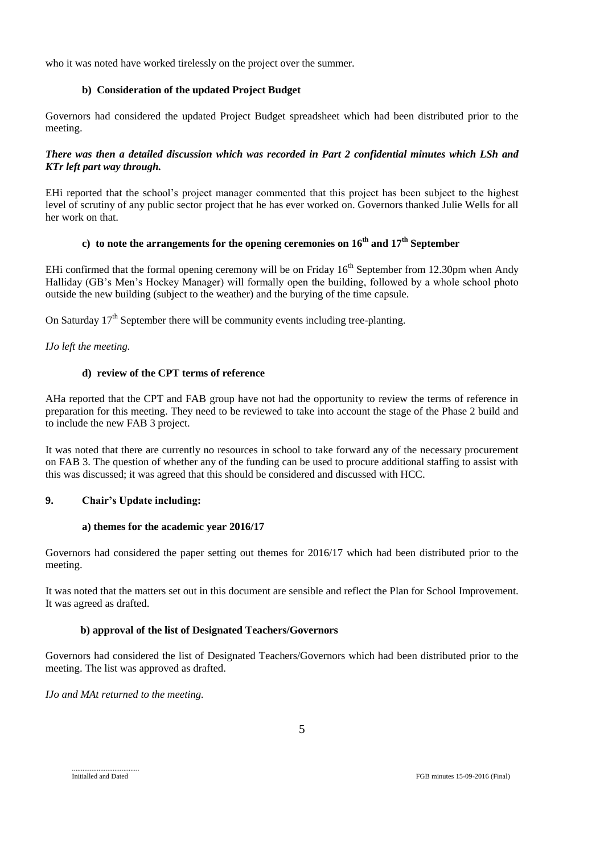who it was noted have worked tirelessly on the project over the summer.

## **b) Consideration of the updated Project Budget**

Governors had considered the updated Project Budget spreadsheet which had been distributed prior to the meeting.

## *There was then a detailed discussion which was recorded in Part 2 confidential minutes which LSh and KTr left part way through.*

EHi reported that the school's project manager commented that this project has been subject to the highest level of scrutiny of any public sector project that he has ever worked on. Governors thanked Julie Wells for all her work on that.

# **c) to note the arrangements for the opening ceremonies on 16th and 17th September**

EHi confirmed that the formal opening ceremony will be on Friday  $16<sup>th</sup>$  September from 12.30pm when Andy Halliday (GB's Men's Hockey Manager) will formally open the building, followed by a whole school photo outside the new building (subject to the weather) and the burying of the time capsule.

On Saturday  $17<sup>th</sup>$  September there will be community events including tree-planting.

*IJo left the meeting.*

## **d) review of the CPT terms of reference**

AHa reported that the CPT and FAB group have not had the opportunity to review the terms of reference in preparation for this meeting. They need to be reviewed to take into account the stage of the Phase 2 build and to include the new FAB 3 project.

It was noted that there are currently no resources in school to take forward any of the necessary procurement on FAB 3. The question of whether any of the funding can be used to procure additional staffing to assist with this was discussed; it was agreed that this should be considered and discussed with HCC.

## **9. Chair's Update including:**

## **a) themes for the academic year 2016/17**

Governors had considered the paper setting out themes for 2016/17 which had been distributed prior to the meeting.

It was noted that the matters set out in this document are sensible and reflect the Plan for School Improvement. It was agreed as drafted.

## **b) approval of the list of Designated Teachers/Governors**

Governors had considered the list of Designated Teachers/Governors which had been distributed prior to the meeting. The list was approved as drafted.

*IJo and MAt returned to the meeting.*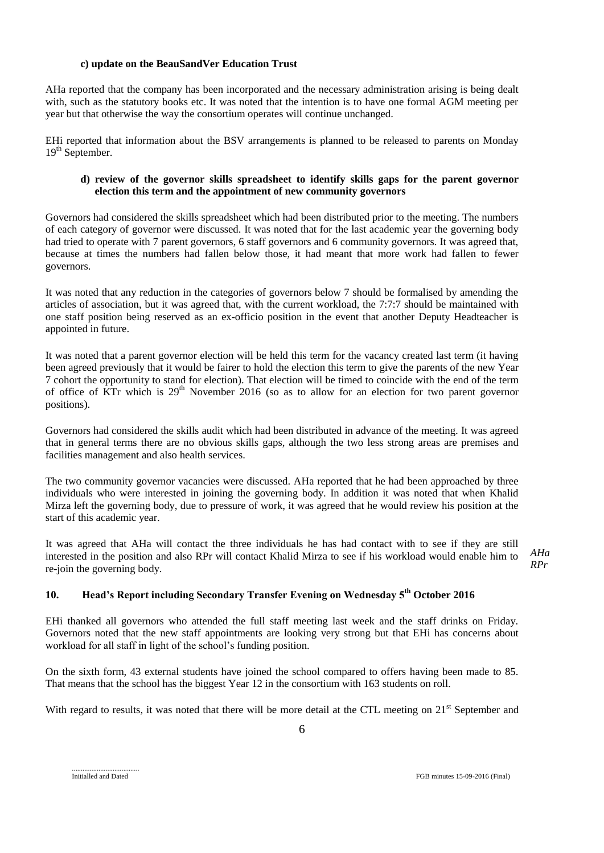### **c) update on the BeauSandVer Education Trust**

AHa reported that the company has been incorporated and the necessary administration arising is being dealt with, such as the statutory books etc. It was noted that the intention is to have one formal AGM meeting per year but that otherwise the way the consortium operates will continue unchanged.

EHi reported that information about the BSV arrangements is planned to be released to parents on Monday 19<sup>th</sup> September.

## **d) review of the governor skills spreadsheet to identify skills gaps for the parent governor election this term and the appointment of new community governors**

Governors had considered the skills spreadsheet which had been distributed prior to the meeting. The numbers of each category of governor were discussed. It was noted that for the last academic year the governing body had tried to operate with 7 parent governors, 6 staff governors and 6 community governors. It was agreed that, because at times the numbers had fallen below those, it had meant that more work had fallen to fewer governors.

It was noted that any reduction in the categories of governors below 7 should be formalised by amending the articles of association, but it was agreed that, with the current workload, the 7:7:7 should be maintained with one staff position being reserved as an ex-officio position in the event that another Deputy Headteacher is appointed in future.

It was noted that a parent governor election will be held this term for the vacancy created last term (it having been agreed previously that it would be fairer to hold the election this term to give the parents of the new Year 7 cohort the opportunity to stand for election). That election will be timed to coincide with the end of the term of office of KTr which is 29<sup>th</sup> November 2016 (so as to allow for an election for two parent governor positions).

Governors had considered the skills audit which had been distributed in advance of the meeting. It was agreed that in general terms there are no obvious skills gaps, although the two less strong areas are premises and facilities management and also health services.

The two community governor vacancies were discussed. AHa reported that he had been approached by three individuals who were interested in joining the governing body. In addition it was noted that when Khalid Mirza left the governing body, due to pressure of work, it was agreed that he would review his position at the start of this academic year.

It was agreed that AHa will contact the three individuals he has had contact with to see if they are still interested in the position and also RPr will contact Khalid Mirza to see if his workload would enable him to re-join the governing body.

*AHa RPr*

# **10. Head's Report including Secondary Transfer Evening on Wednesday 5th October 2016**

EHi thanked all governors who attended the full staff meeting last week and the staff drinks on Friday. Governors noted that the new staff appointments are looking very strong but that EHi has concerns about workload for all staff in light of the school's funding position.

On the sixth form, 43 external students have joined the school compared to offers having been made to 85. That means that the school has the biggest Year 12 in the consortium with 163 students on roll.

With regard to results, it was noted that there will be more detail at the CTL meeting on 21<sup>st</sup> September and

Initialled and Dated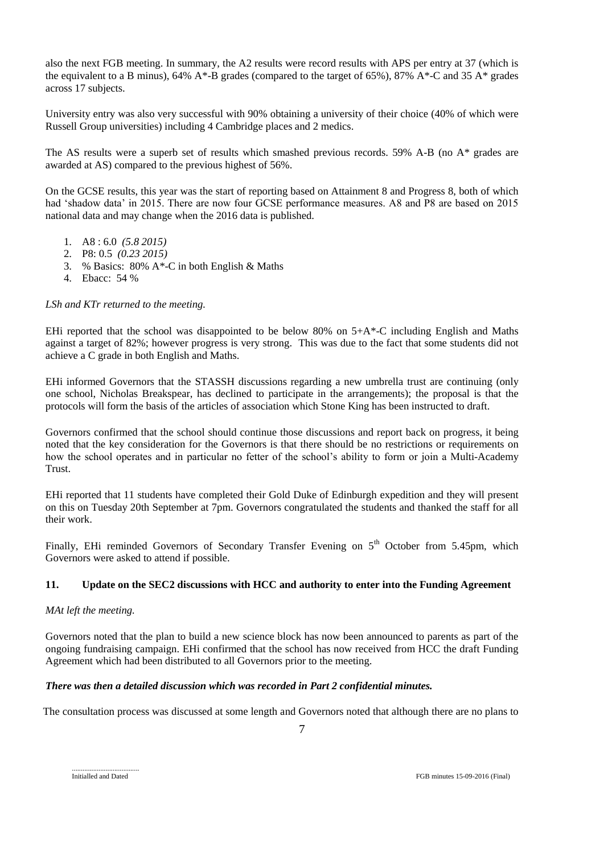also the next FGB meeting. In summary, the A2 results were record results with APS per entry at 37 (which is the equivalent to a B minus),  $64\%$  A\*-B grades (compared to the target of  $65\%$ ),  $87\%$  A\*-C and  $35$  A\* grades across 17 subjects.

University entry was also very successful with 90% obtaining a university of their choice (40% of which were Russell Group universities) including 4 Cambridge places and 2 medics.

The AS results were a superb set of results which smashed previous records. 59% A-B (no A\* grades are awarded at AS) compared to the previous highest of 56%.

On the GCSE results, this year was the start of reporting based on Attainment 8 and Progress 8, both of which had 'shadow data' in 2015. There are now four GCSE performance measures. A8 and P8 are based on 2015 national data and may change when the 2016 data is published.

- 1. A8 : 6.0 *(5.8 2015)*
- 2. P8: 0.5 *(0.23 2015)*
- 3. % Basics: 80% A\*-C in both English & Maths
- 4. Ebacc: 54 %

### *LSh and KTr returned to the meeting.*

EHi reported that the school was disappointed to be below 80% on  $5+A^*$ -C including English and Maths against a target of 82%; however progress is very strong. This was due to the fact that some students did not achieve a C grade in both English and Maths.

EHi informed Governors that the STASSH discussions regarding a new umbrella trust are continuing (only one school, Nicholas Breakspear, has declined to participate in the arrangements); the proposal is that the protocols will form the basis of the articles of association which Stone King has been instructed to draft.

Governors confirmed that the school should continue those discussions and report back on progress, it being noted that the key consideration for the Governors is that there should be no restrictions or requirements on how the school operates and in particular no fetter of the school's ability to form or join a Multi-Academy Trust.

EHi reported that 11 students have completed their Gold Duke of Edinburgh expedition and they will present on this on Tuesday 20th September at 7pm. Governors congratulated the students and thanked the staff for all their work.

Finally, EHi reminded Governors of Secondary Transfer Evening on  $5<sup>th</sup>$  October from 5.45pm, which Governors were asked to attend if possible.

## **11. Update on the SEC2 discussions with HCC and authority to enter into the Funding Agreement**

#### *MAt left the meeting.*

Governors noted that the plan to build a new science block has now been announced to parents as part of the ongoing fundraising campaign. EHi confirmed that the school has now received from HCC the draft Funding Agreement which had been distributed to all Governors prior to the meeting.

## *There was then a detailed discussion which was recorded in Part 2 confidential minutes.*

The consultation process was discussed at some length and Governors noted that although there are no plans to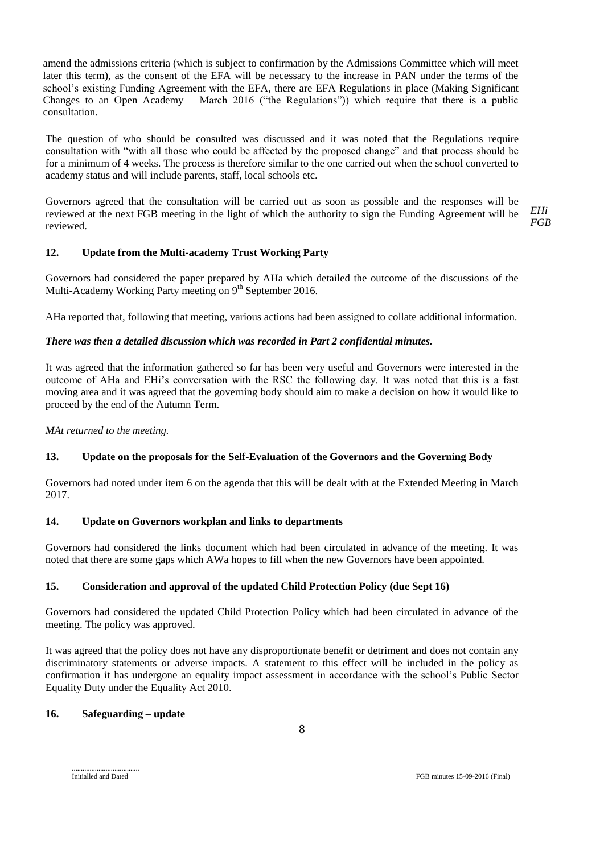amend the admissions criteria (which is subject to confirmation by the Admissions Committee which will meet later this term), as the consent of the EFA will be necessary to the increase in PAN under the terms of the school's existing Funding Agreement with the EFA, there are EFA Regulations in place (Making Significant Changes to an Open Academy – March 2016 ("the Regulations")) which require that there is a public consultation.

The question of who should be consulted was discussed and it was noted that the Regulations require consultation with "with all those who could be affected by the proposed change" and that process should be for a minimum of 4 weeks. The process is therefore similar to the one carried out when the school converted to academy status and will include parents, staff, local schools etc.

Governors agreed that the consultation will be carried out as soon as possible and the responses will be reviewed at the next FGB meeting in the light of which the authority to sign the Funding Agreement will be reviewed. *EHi FGB*

## **12. Update from the Multi-academy Trust Working Party**

Governors had considered the paper prepared by AHa which detailed the outcome of the discussions of the Multi-Academy Working Party meeting on  $9<sup>th</sup>$  September 2016.

AHa reported that, following that meeting, various actions had been assigned to collate additional information.

### *There was then a detailed discussion which was recorded in Part 2 confidential minutes.*

It was agreed that the information gathered so far has been very useful and Governors were interested in the outcome of AHa and EHi's conversation with the RSC the following day. It was noted that this is a fast moving area and it was agreed that the governing body should aim to make a decision on how it would like to proceed by the end of the Autumn Term.

*MAt returned to the meeting.*

## **13. Update on the proposals for the Self-Evaluation of the Governors and the Governing Body**

Governors had noted under item 6 on the agenda that this will be dealt with at the Extended Meeting in March 2017.

#### **14. Update on Governors workplan and links to departments**

Governors had considered the links document which had been circulated in advance of the meeting. It was noted that there are some gaps which AWa hopes to fill when the new Governors have been appointed.

## **15. Consideration and approval of the updated Child Protection Policy (due Sept 16)**

Governors had considered the updated Child Protection Policy which had been circulated in advance of the meeting. The policy was approved.

It was agreed that the policy does not have any disproportionate benefit or detriment and does not contain any discriminatory statements or adverse impacts. A statement to this effect will be included in the policy as confirmation it has undergone an equality impact assessment in accordance with the school's Public Sector Equality Duty under the Equality Act 2010.

### **16. Safeguarding – update**